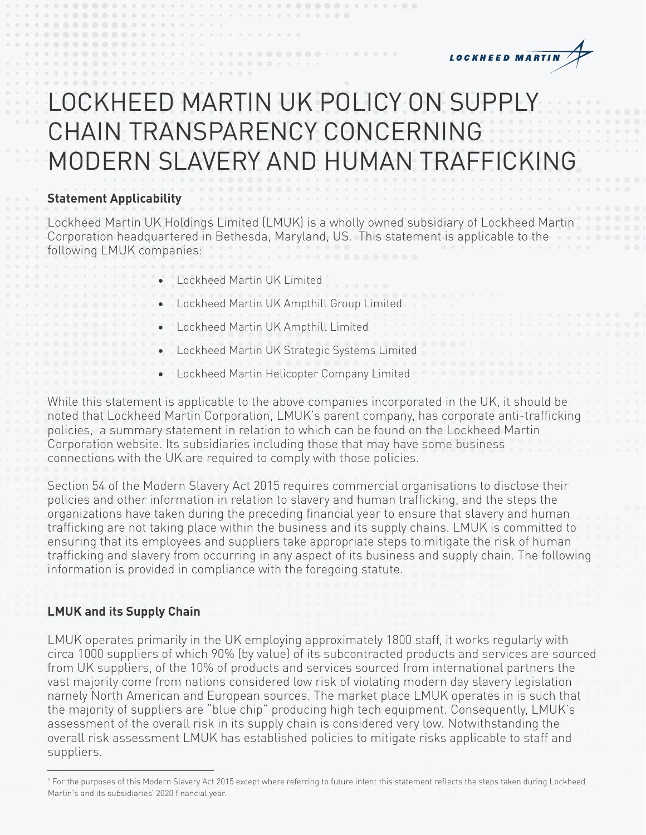

# LOCKHEED MARTIN UK POLICY ON SUPPLY CHAIN TRANSPARENCY CONCERNING MODERN SLAVERY AND HUMAN TRAFFICKING

#### **Statement Applicability**

Lockheed Martin UK Holdings Limited (LMUK) is a wholly owned subsidiary of Lockheed Martin Corporation headquartered in Bethesda, Maryland, US. This statement is applicable to the following LMUK companies:

- Lockheed Martin UK Limited
- Lockheed Martin UK Ampthill Group Limited
- Lockheed Martin UK Ampthill Limited
- Lockheed Martin UK Strategic Systems Limited
- Lockheed Martin Helicopter Company Limited

While this statement is applicable to the above companies incorporated in the UK, it should be noted that Lockheed Martin Corporation, LMUK's parent company, has corporate anti-trafficking policies, a summary statement in relation to which can be found on the Lockheed Martin Corporation website. Its subsidiaries including those that may have some business connections with the UK are required to comply with those policies.

Section 54 of the Modern Slavery Act 2015 requires commercial organisations to disclose their policies and other information in relation to slavery and human trafficking, and the steps the organizations have taken during the preceding financial year to ensure that slavery and human trafficking are not taking place within the business and its supply chains. LMUK is committed to ensuring that its employees and suppliers take appropriate steps to mitigate the risk of human trafficking and slavery from occurring in any aspect of its business and supply chain. The following information is provided in compliance with the foregoing statute.

# **LMUK and its Supply Chain**

LMUK operates primarily in the UK employing approximately 1800 staff, it works regularly with circa 1000 suppliers of which 90% (by value) of its subcontracted products and services are sourced from UK suppliers, of the 10% of products and services sourced from international partners the vast majority come from nations considered low risk of violating modern day slavery legislation namely North American and European sources. The market place LMUK operates in is such that the majority of suppliers are "blue chip" producing high tech equipment. Consequently, LMUK's assessment of the overall risk in its supply chain is considered very low. Notwithstanding the overall risk assessment LMUK has established policies to mitigate risks applicable to staff and suppliers.

<sup>1</sup> For the purposes of this Modern Slavery Act 2015 except where referring to future intent this statement reflects the steps taken during Lockheed Martin's and its subsidiaries' 2020 financial year.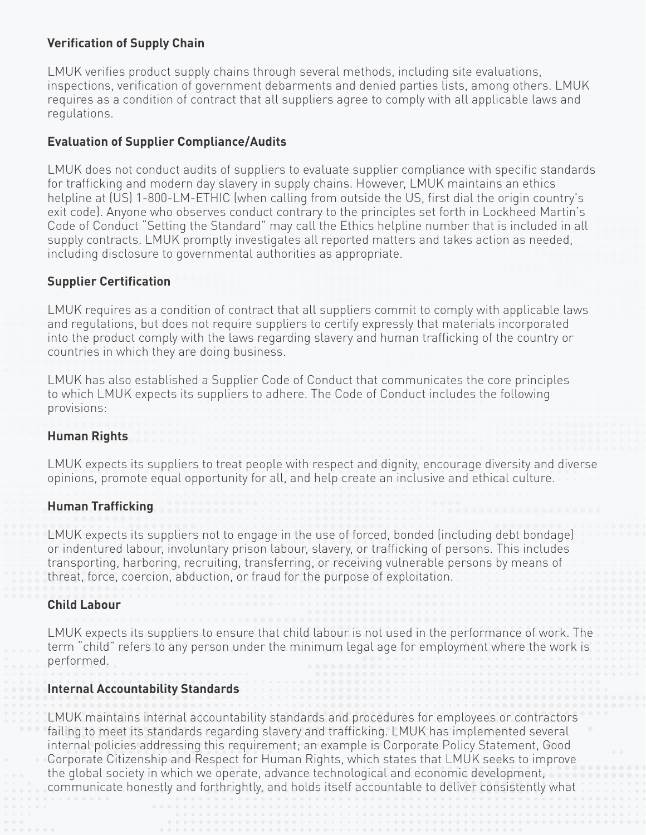# **Verification of Supply Chain**

LMUK verifies product supply chains through several methods, including site evaluations, inspections, verification of government debarments and denied parties lists, among others. LMUK requires as a condition of contract that all suppliers agree to comply with all applicable laws and regulations.

### **Evaluation of Supplier Compliance/Audits**

LMUK does not conduct audits of suppliers to evaluate supplier compliance with specific standards for trafficking and modern day slavery in supply chains. However, LMUK maintains an ethics helpline at (US) 1-800-LM-ETHIC (when calling from outside the US, first dial the origin country's exit code). Anyone who observes conduct contrary to the principles set forth in Lockheed Martin's Code of Conduct "Setting the Standard" may call the Ethics helpline number that is included in all supply contracts. LMUK promptly investigates all reported matters and takes action as needed, including disclosure to governmental authorities as appropriate.

#### **Supplier Certification**

LMUK requires as a condition of contract that all suppliers commit to comply with applicable laws and regulations, but does not require suppliers to certify expressly that materials incorporated into the product comply with the laws regarding slavery and human trafficking of the country or countries in which they are doing business.

LMUK has also established a Supplier Code of Conduct that communicates the core principles to which LMUK expects its suppliers to adhere. The Code of Conduct includes the following provisions:

#### **Human Rights**

LMUK expects its suppliers to treat people with respect and dignity, encourage diversity and diverse opinions, promote equal opportunity for all, and help create an inclusive and ethical culture.

#### **Human Trafficking**

LMUK expects its suppliers not to engage in the use of forced, bonded (including debt bondage) or indentured labour, involuntary prison labour, slavery, or trafficking of persons. This includes transporting, harboring, recruiting, transferring, or receiving vulnerable persons by means of threat, force, coercion, abduction, or fraud for the purpose of exploitation.

#### **Child Labour**

LMUK expects its suppliers to ensure that child labour is not used in the performance of work. The term "child" refers to any person under the minimum legal age for employment where the work is performed.

#### **Internal Accountability Standards**

LMUK maintains internal accountability standards and procedures for employees or contractors failing to meet its standards regarding slavery and trafficking. LMUK has implemented several internal policies addressing this requirement; an example is Corporate Policy Statement, Good Corporate Citizenship and Respect for Human Rights, which states that LMUK seeks to improve the global society in which we operate, advance technological and economic development, communicate honestly and forthrightly, and holds itself accountable to deliver consistently what